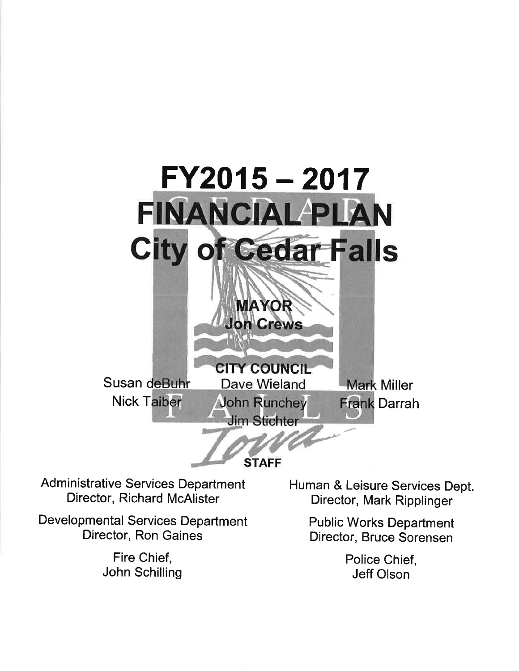

Administrative Services Department Director, Richard McAlister

Developmental Services Department Director, Ron Gaines

> Fire Chief, John Schilling

Human & Leisure Services Dept. Director, Mark Ripplinger

> Public Works Department Director, Bruce Sorensen

> > Police Chief, Jeff Olson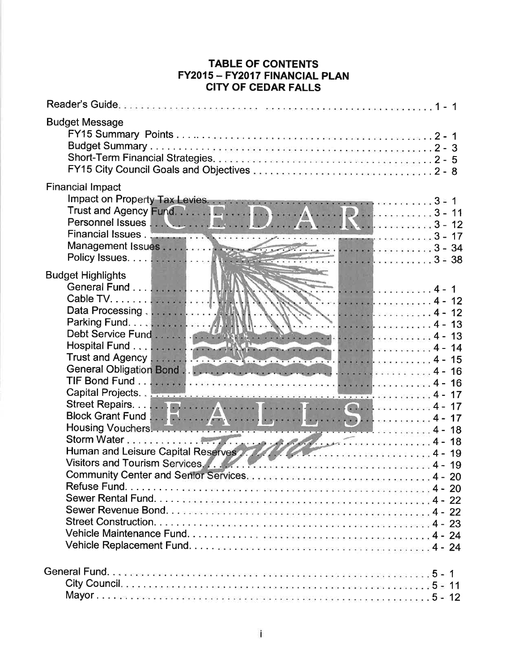## TABLE OF CONTENTS FY2015 - FY2017 FINANCIAL PLAN CITY OF CEDAR FALLS

| <b>Budget Message</b>                                                                                                                       |
|---------------------------------------------------------------------------------------------------------------------------------------------|
| <b>Financial Impact</b><br>Impact on Property Tax Levies.<br>Trust and Agency Fund.<br>Personnel Issues <b>A. A. R. A. A. A. A. A.</b> 3-12 |
| <b>Budget Highlights</b><br>Housing Vouchers.<br>Human and Leisure Capital Reserves                                                         |
|                                                                                                                                             |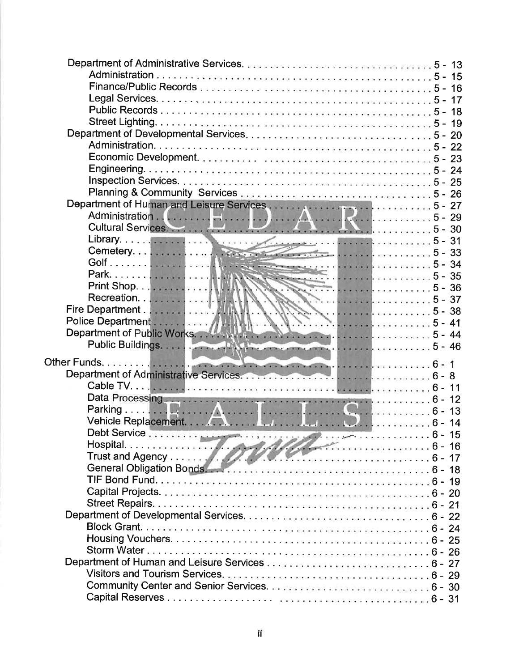| Hospital. $\frac{1}{\sqrt{1-\frac{1}{\sqrt{1-\frac{1}{\sqrt{1-\frac{1}{\sqrt{1-\frac{1}{\sqrt{1-\frac{1}{\sqrt{1-\frac{1}{\sqrt{1-\frac{1}{\sqrt{1-\frac{1}{\sqrt{1-\frac{1}{\sqrt{1-\frac{1}{1-\frac{1}{\sqrt{1-\frac{1}{1-\frac{1}{\sqrt{1-\frac{1}{1-\frac{1}{\sqrt{1-\frac{1}{1-\frac{1}{\sqrt{1-\frac{1}{1-\frac{1}{\sqrt{1-\frac{1}{1-\frac{1}{\sqrt{1-\frac{1}{1-\frac{1}{\sqrt{1-\frac{1}{1-\frac{1}{\sqrt{1$ |  |
|-----------------------------------------------------------------------------------------------------------------------------------------------------------------------------------------------------------------------------------------------------------------------------------------------------------------------------------------------------------------------------------------------------------------------|--|
|                                                                                                                                                                                                                                                                                                                                                                                                                       |  |
|                                                                                                                                                                                                                                                                                                                                                                                                                       |  |
|                                                                                                                                                                                                                                                                                                                                                                                                                       |  |
|                                                                                                                                                                                                                                                                                                                                                                                                                       |  |
|                                                                                                                                                                                                                                                                                                                                                                                                                       |  |
|                                                                                                                                                                                                                                                                                                                                                                                                                       |  |
|                                                                                                                                                                                                                                                                                                                                                                                                                       |  |
|                                                                                                                                                                                                                                                                                                                                                                                                                       |  |
|                                                                                                                                                                                                                                                                                                                                                                                                                       |  |
|                                                                                                                                                                                                                                                                                                                                                                                                                       |  |
|                                                                                                                                                                                                                                                                                                                                                                                                                       |  |
|                                                                                                                                                                                                                                                                                                                                                                                                                       |  |
|                                                                                                                                                                                                                                                                                                                                                                                                                       |  |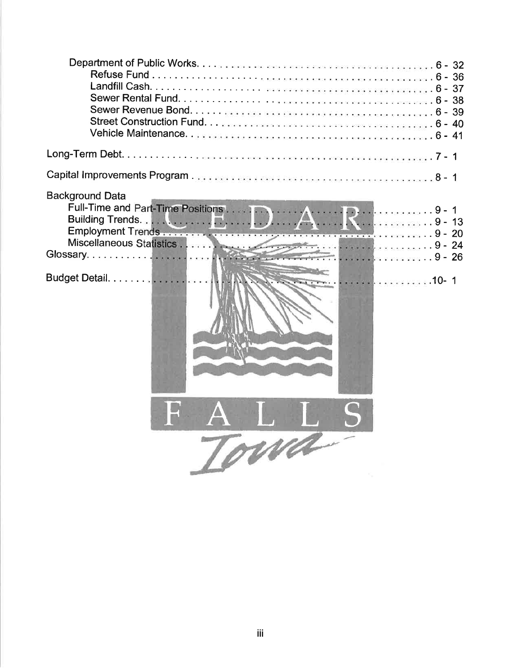| <b>Background Data</b><br>8 - 26<br>Budget Detail.<br>. 10-1<br>va |  |
|--------------------------------------------------------------------|--|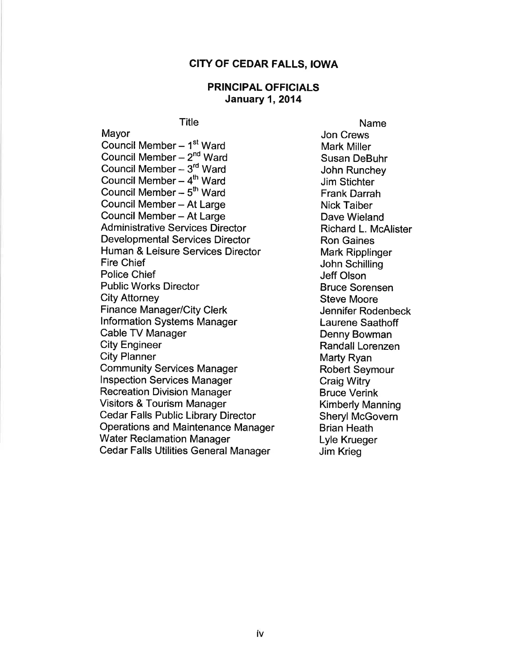## CITY OF CEDAR FALLS, IOWA

## PRINCIPAL OFFICIALS January 1,2014

**Title** 

Mayor Council Member  $-1<sup>st</sup>$  Ward Council Member  $-2<sup>nd</sup>$  Ward Council Member- 3'd Ward Council Member  $-4<sup>th</sup>$  Ward Council Member  $-5<sup>th</sup>$  Ward Council Member - At Large Council Member - At Large Administrative Services Director Developmental Services Director Human & Leisure Services Director Fire Chief Police Chief Public Works Director Cíty Attorney Finance Manager/City Clerk <sup>I</sup>nformation Systems Manager Cable TV Manager City Engineer City Planner Community Services Manager lnspection Services Manager Recreation Division Manager Visitors & Tourism Manager Cedar Falls Public Library Director Operations and Maintenance Manager Water Reclamation Manager Cedar Falls Utilities General Manager

Name Jon Crews Mark Miller Susan DeBuhr John Runchey Jim Stichter Frank Darrah Nick Taiber Dave Wieland Richard L. McAlíster Ron Gaines Mark Ripplinger John Schilling Jeff Olson Bruce Sorensen Steve Moore Jennifer Rodenbeck Laurene Saathoff Denny Bowman Randall Lorenzen Marty Ryan Robert Seymour Craig Witry Bruce Verink Kimberly Manning Sheryl McGovern Brian Heath Lyle Krueger Jim Krieg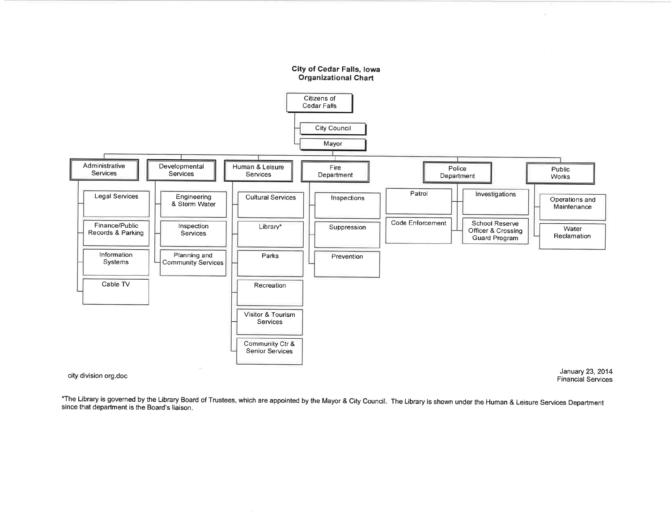

Financial Services

\*The Library is governed by the Library Board of Trustees, which are appointed by the Mayor & City Council. The Library is shown under the Human & Leisure Services Department since that department is the Board's liaison.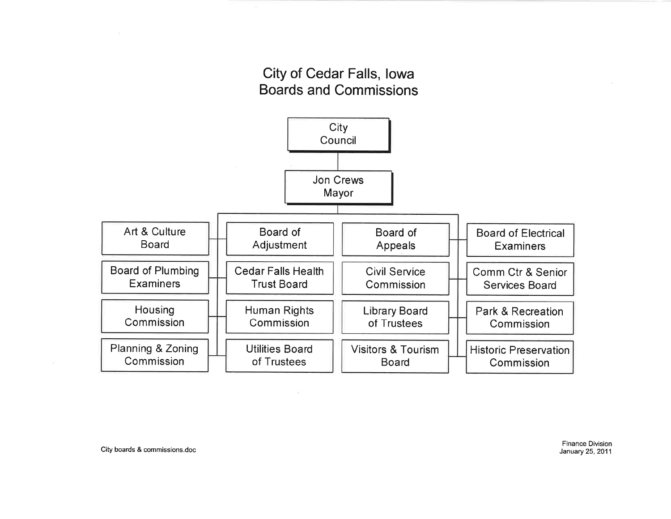## City of Cedar Falls, lowaBoards and Commissions